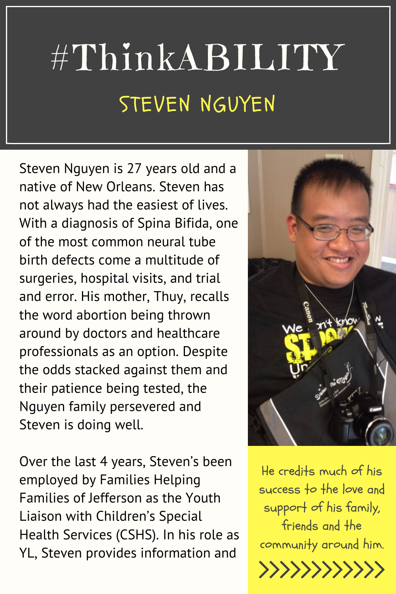## #ThinkABILITY STEVEN NGUYEN

Steven Nguyen is 27 years old and a native of New Orleans. Steven has not always had the easiest of lives. With a diagnosis of Spina Bifida, one of the most common neural tube birth defects come a multitude of surgeries, hospital visits, and trial and error. His mother, Thuy, recalls the word abortion being thrown around by doctors and healthcare professionals as an option. Despite the odds stacked against them and their patience being tested, the Nguyen family persevered and Steven is doing well.

Over the last 4 years, Steven's been employed by Families Helping Families of Jefferson as the Youth Liaison with Children's Special Health Services (CSHS). In his role as YL, Steven provides information and



He credits much of his success to the love and support of his family, friends and the community around him.

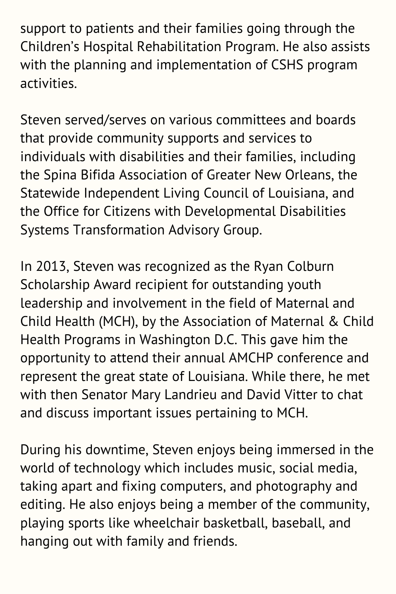support to patients and their families going through the Children's Hospital Rehabilitation Program. He also assists with the planning and implementation of CSHS program activities.

Steven served/serves on various committees and boards that provide community supports and services to individuals with disabilities and their families, including the Spina Bifida Association of Greater New Orleans, the Statewide Independent Living Council of Louisiana, and the Office for Citizens with Developmental Disabilities Systems Transformation Advisory Group.

In 2013, Steven was recognized as the Ryan Colburn Scholarship Award recipient for outstanding youth leadership and involvement in the field of Maternal and Child Health (MCH), by the Association of Maternal & Child Health Programs in Washington D.C. This gave him the opportunity to attend their annual AMCHP conference and represent the great state of Louisiana. While there, he met with then Senator Mary Landrieu and David Vitter to chat and discuss important issues pertaining to MCH.

During his downtime, Steven enjoys being immersed in the world of technology which includes music, social media, taking apart and fixing computers, and photography and editing. He also enjoys being a member of the community, playing sports like wheelchair basketball, baseball, and hanging out with family and friends.